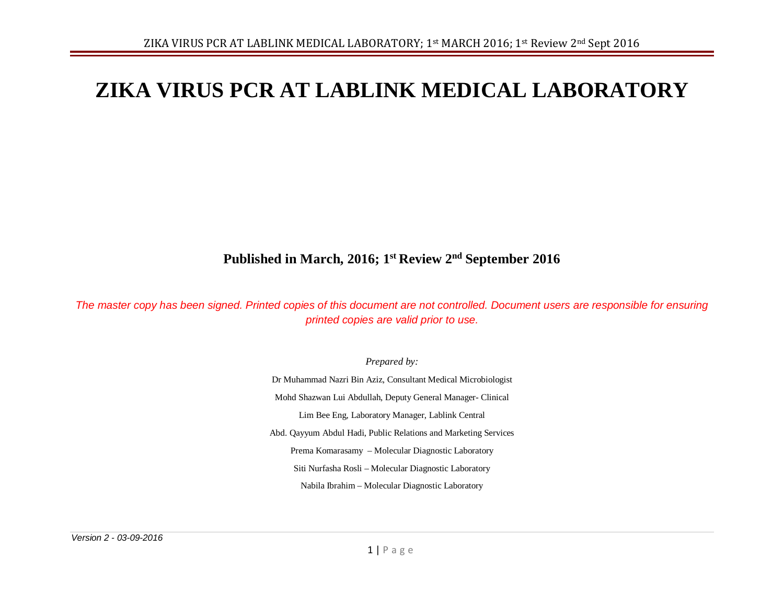# **ZIKA VIRUS PCR AT LABLINK MEDICAL LABORATORY**

# **Published in March, 2016; 1st Review 2nd September 2016**

*The master copy has been signed. Printed copies of this document are not controlled. Document users are responsible for ensuring printed copies are valid prior to use.*

*Prepared by:*

Dr Muhammad Nazri Bin Aziz, Consultant Medical Microbiologist Mohd Shazwan Lui Abdullah, Deputy General Manager- Clinical Lim Bee Eng, Laboratory Manager, Lablink Central Abd. Qayyum Abdul Hadi, Public Relations and Marketing Services Prema Komarasamy – Molecular Diagnostic Laboratory Siti Nurfasha Rosli – Molecular Diagnostic Laboratory Nabila Ibrahim – Molecular Diagnostic Laboratory

*Version 2 - 03-09-2016*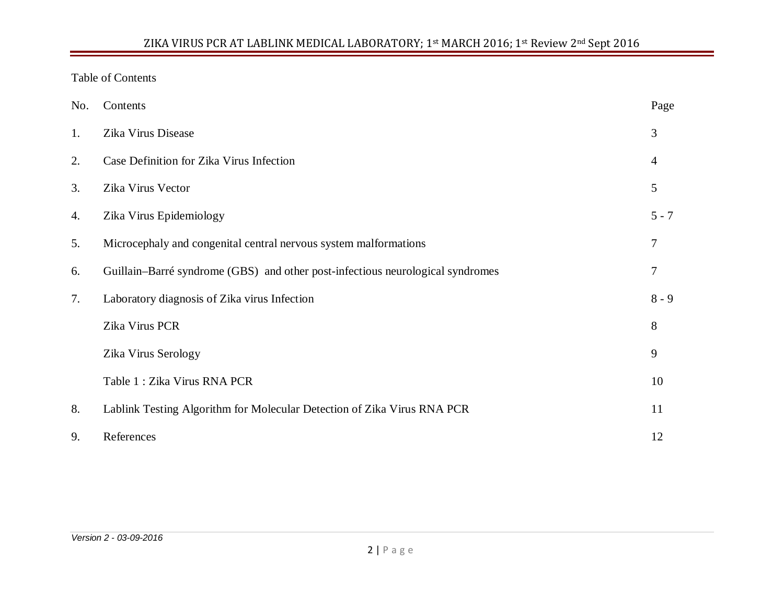# Table of Contents

| No. | Contents                                                                       | Page    |  |  |  |  |
|-----|--------------------------------------------------------------------------------|---------|--|--|--|--|
| 1.  | Zika Virus Disease                                                             | 3       |  |  |  |  |
| 2.  | Case Definition for Zika Virus Infection                                       | 4       |  |  |  |  |
| 3.  | Zika Virus Vector                                                              | 5       |  |  |  |  |
| 4.  | Zika Virus Epidemiology                                                        | $5 - 7$ |  |  |  |  |
| 5.  | Microcephaly and congenital central nervous system malformations               |         |  |  |  |  |
| 6.  | Guillain–Barré syndrome (GBS) and other post-infectious neurological syndromes | 7       |  |  |  |  |
| 7.  | Laboratory diagnosis of Zika virus Infection                                   | $8 - 9$ |  |  |  |  |
|     | Zika Virus PCR                                                                 | 8       |  |  |  |  |
|     | Zika Virus Serology                                                            | 9       |  |  |  |  |
|     | Table 1 : Zika Virus RNA PCR                                                   | 10      |  |  |  |  |
| 8.  | Lablink Testing Algorithm for Molecular Detection of Zika Virus RNA PCR        | 11      |  |  |  |  |
| 9.  | References                                                                     | 12      |  |  |  |  |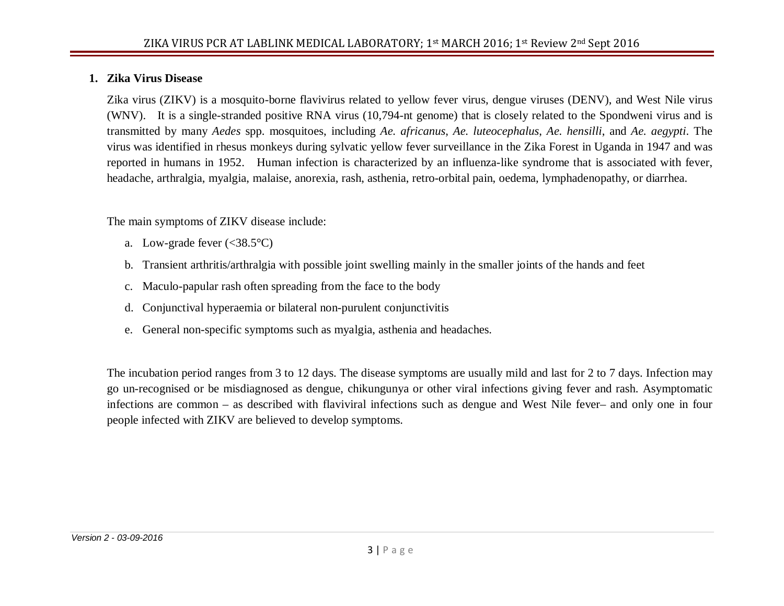#### **1. Zika Virus Disease**

Zika virus (ZIKV) is a mosquito-borne flavivirus related to yellow fever virus, dengue viruses (DENV), and West Nile virus (WNV). It is a single-stranded positive RNA virus (10,794-nt genome) that is closely related to the Spondweni virus and is transmitted by many *Aedes* spp. mosquitoes, including *Ae. africanus*, *Ae. luteocephalus*, *Ae. hensilli*, and *Ae. aegypti*. The virus was identified in rhesus monkeys during sylvatic yellow fever surveillance in the Zika Forest in Uganda in 1947 and was reported in humans in 1952. Human infection is characterized by an influenza-like syndrome that is associated with fever, headache, arthralgia, myalgia, malaise, anorexia, rash, asthenia, retro-orbital pain, oedema, lymphadenopathy, or diarrhea.

The main symptoms of ZIKV disease include:

- a. Low-grade fever  $\left(<38.5^{\circ}\text{C}\right)$
- b. Transient arthritis/arthralgia with possible joint swelling mainly in the smaller joints of the hands and feet
- c. Maculo-papular rash often spreading from the face to the body
- d. Conjunctival hyperaemia or bilateral non-purulent conjunctivitis
- e. General non-specific symptoms such as myalgia, asthenia and headaches.

The incubation period ranges from 3 to 12 days. The disease symptoms are usually mild and last for 2 to 7 days. Infection may go un-recognised or be misdiagnosed as dengue, chikungunya or other viral infections giving fever and rash. Asymptomatic infections are common – as described with flaviviral infections such as dengue and West Nile fever– and only one in four people infected with ZIKV are believed to develop symptoms.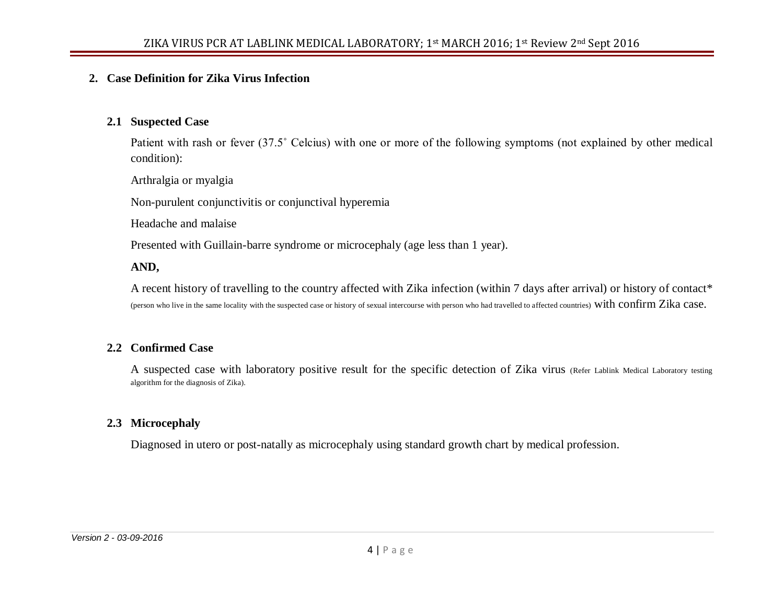#### **2. Case Definition for Zika Virus Infection**

#### **2.1 Suspected Case**

Patient with rash or fever (37.5˚ Celcius) with one or more of the following symptoms (not explained by other medical condition):

Arthralgia or myalgia

Non-purulent conjunctivitis or conjunctival hyperemia

Headache and malaise

Presented with Guillain-barre syndrome or microcephaly (age less than 1 year).

#### **AND,**

A recent history of travelling to the country affected with Zika infection (within 7 days after arrival) or history of contact\* (person who live in the same locality with the suspected case or history of sexual intercourse with person who had travelled to affected countries) with confirm Zika case.

#### **2.2 Confirmed Case**

A suspected case with laboratory positive result for the specific detection of Zika virus (Refer Lablink Medical Laboratory testing algorithm for the diagnosis of Zika).

#### **2.3 Microcephaly**

Diagnosed in utero or post-natally as microcephaly using standard growth chart by medical profession.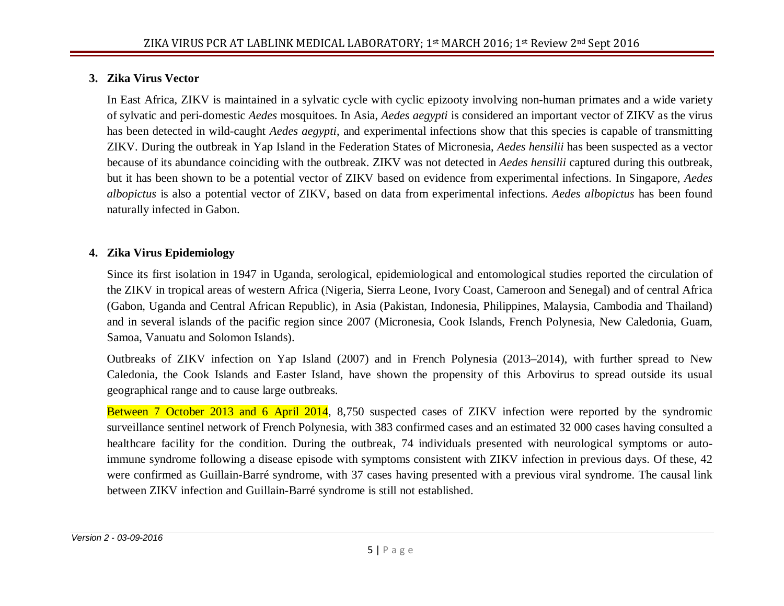# **3. Zika Virus Vector**

In East Africa, ZIKV is maintained in a sylvatic cycle with cyclic epizooty involving non-human primates and a wide variety of sylvatic and peri-domestic *Aedes* mosquitoes. In Asia, *Aedes aegypti* is considered an important vector of ZIKV as the virus has been detected in wild-caught *Aedes aegypti*, and experimental infections show that this species is capable of transmitting ZIKV. During the outbreak in Yap Island in the Federation States of Micronesia, *Aedes hensilii* has been suspected as a vector because of its abundance coinciding with the outbreak. ZIKV was not detected in *Aedes hensilii* captured during this outbreak, but it has been shown to be a potential vector of ZIKV based on evidence from experimental infections. In Singapore, *Aedes albopictus* is also a potential vector of ZIKV, based on data from experimental infections. *Aedes albopictus* has been found naturally infected in Gabon.

# **4. Zika Virus Epidemiology**

Since its first isolation in 1947 in Uganda, serological, epidemiological and entomological studies reported the circulation of the ZIKV in tropical areas of western Africa (Nigeria, Sierra Leone, Ivory Coast, Cameroon and Senegal) and of central Africa (Gabon, Uganda and Central African Republic), in Asia (Pakistan, Indonesia, Philippines, Malaysia, Cambodia and Thailand) and in several islands of the pacific region since 2007 (Micronesia, Cook Islands, French Polynesia, New Caledonia, Guam, Samoa, Vanuatu and Solomon Islands).

Outbreaks of ZIKV infection on Yap Island (2007) and in French Polynesia (2013–2014), with further spread to New Caledonia, the Cook Islands and Easter Island, have shown the propensity of this Arbovirus to spread outside its usual geographical range and to cause large outbreaks.

Between 7 October 2013 and 6 April 2014, 8,750 suspected cases of ZIKV infection were reported by the syndromic surveillance sentinel network of French Polynesia, with 383 confirmed cases and an estimated 32 000 cases having consulted a healthcare facility for the condition. During the outbreak, 74 individuals presented with neurological symptoms or autoimmune syndrome following a disease episode with symptoms consistent with ZIKV infection in previous days. Of these, 42 were confirmed as Guillain-Barré syndrome, with 37 cases having presented with a previous viral syndrome. The causal link between ZIKV infection and Guillain-Barré syndrome is still not established.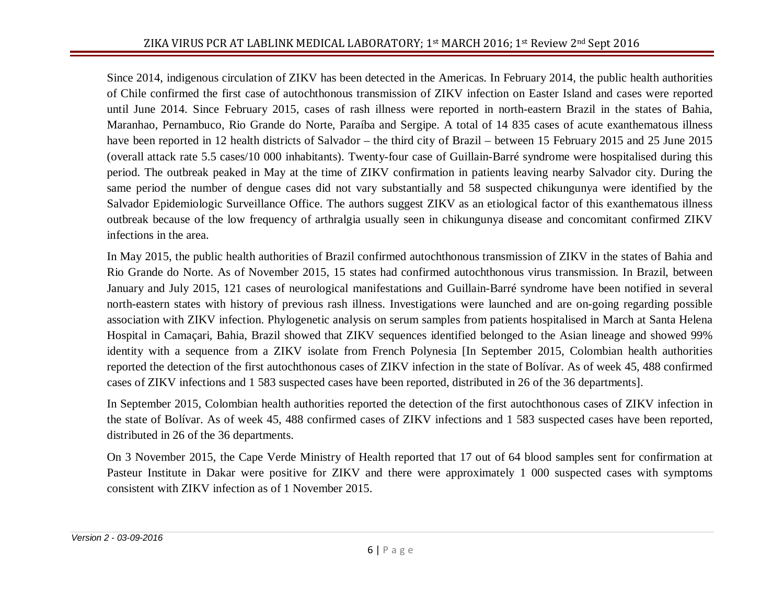Since 2014, indigenous circulation of ZIKV has been detected in the Americas. In February 2014, the public health authorities of Chile confirmed the first case of autochthonous transmission of ZIKV infection on Easter Island and cases were reported until June 2014. Since February 2015, cases of rash illness were reported in north-eastern Brazil in the states of Bahia, Maranhao, Pernambuco, Rio Grande do Norte, Paraíba and Sergipe. A total of 14 835 cases of acute exanthematous illness have been reported in 12 health districts of Salvador – the third city of Brazil – between 15 February 2015 and 25 June 2015 (overall attack rate 5.5 cases/10 000 inhabitants). Twenty-four case of Guillain-Barré syndrome were hospitalised during this period. The outbreak peaked in May at the time of ZIKV confirmation in patients leaving nearby Salvador city. During the same period the number of dengue cases did not vary substantially and 58 suspected chikungunya were identified by the Salvador Epidemiologic Surveillance Office. The authors suggest ZIKV as an etiological factor of this exanthematous illness outbreak because of the low frequency of arthralgia usually seen in chikungunya disease and concomitant confirmed ZIKV infections in the area.

In May 2015, the public health authorities of Brazil confirmed autochthonous transmission of ZIKV in the states of Bahia and Rio Grande do Norte. As of November 2015, 15 states had confirmed autochthonous virus transmission. In Brazil, between January and July 2015, 121 cases of neurological manifestations and Guillain-Barré syndrome have been notified in several north-eastern states with history of previous rash illness. Investigations were launched and are on-going regarding possible association with ZIKV infection. Phylogenetic analysis on serum samples from patients hospitalised in March at Santa Helena Hospital in Camaçari, Bahia, Brazil showed that ZIKV sequences identified belonged to the Asian lineage and showed 99% identity with a sequence from a ZIKV isolate from French Polynesia [In September 2015, Colombian health authorities reported the detection of the first autochthonous cases of ZIKV infection in the state of Bolívar. As of week 45, 488 confirmed cases of ZIKV infections and 1 583 suspected cases have been reported, distributed in 26 of the 36 departments].

In September 2015, Colombian health authorities reported the detection of the first autochthonous cases of ZIKV infection in the state of Bolívar. As of week 45, 488 confirmed cases of ZIKV infections and 1 583 suspected cases have been reported, distributed in 26 of the 36 departments.

On 3 November 2015, the Cape Verde Ministry of Health reported that 17 out of 64 blood samples sent for confirmation at Pasteur Institute in Dakar were positive for ZIKV and there were approximately 1 000 suspected cases with symptoms consistent with ZIKV infection as of 1 November 2015.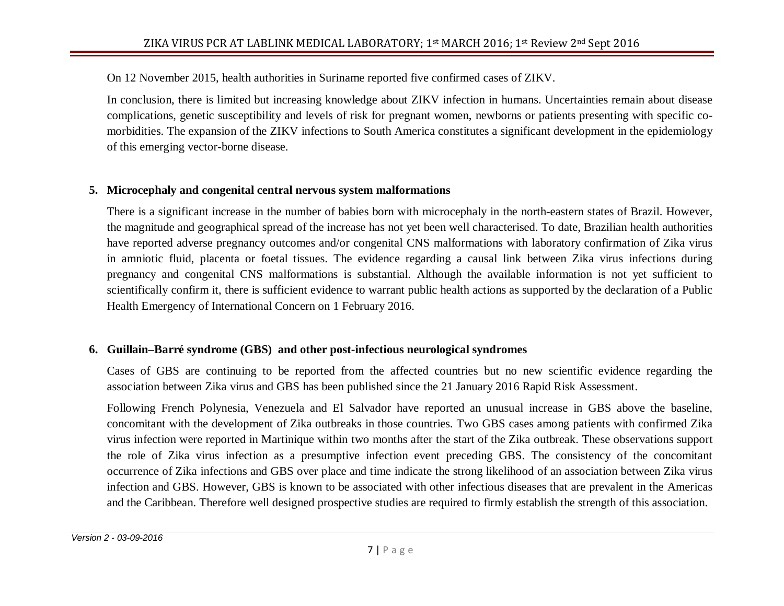On 12 November 2015, health authorities in Suriname reported five confirmed cases of ZIKV.

In conclusion, there is limited but increasing knowledge about ZIKV infection in humans. Uncertainties remain about disease complications, genetic susceptibility and levels of risk for pregnant women, newborns or patients presenting with specific comorbidities. The expansion of the ZIKV infections to South America constitutes a significant development in the epidemiology of this emerging vector-borne disease.

# **5. Microcephaly and congenital central nervous system malformations**

There is a significant increase in the number of babies born with microcephaly in the north-eastern states of Brazil. However, the magnitude and geographical spread of the increase has not yet been well characterised. To date, Brazilian health authorities have reported adverse pregnancy outcomes and/or congenital CNS malformations with laboratory confirmation of Zika virus in amniotic fluid, placenta or foetal tissues. The evidence regarding a causal link between Zika virus infections during pregnancy and congenital CNS malformations is substantial. Although the available information is not yet sufficient to scientifically confirm it, there is sufficient evidence to warrant public health actions as supported by the declaration of a Public Health Emergency of International Concern on 1 February 2016.

# **6. Guillain–Barré syndrome (GBS) and other post-infectious neurological syndromes**

Cases of GBS are continuing to be reported from the affected countries but no new scientific evidence regarding the association between Zika virus and GBS has been published since the 21 January 2016 Rapid Risk Assessment.

Following French Polynesia, Venezuela and El Salvador have reported an unusual increase in GBS above the baseline, concomitant with the development of Zika outbreaks in those countries. Two GBS cases among patients with confirmed Zika virus infection were reported in Martinique within two months after the start of the Zika outbreak. These observations support the role of Zika virus infection as a presumptive infection event preceding GBS. The consistency of the concomitant occurrence of Zika infections and GBS over place and time indicate the strong likelihood of an association between Zika virus infection and GBS. However, GBS is known to be associated with other infectious diseases that are prevalent in the Americas and the Caribbean. Therefore well designed prospective studies are required to firmly establish the strength of this association.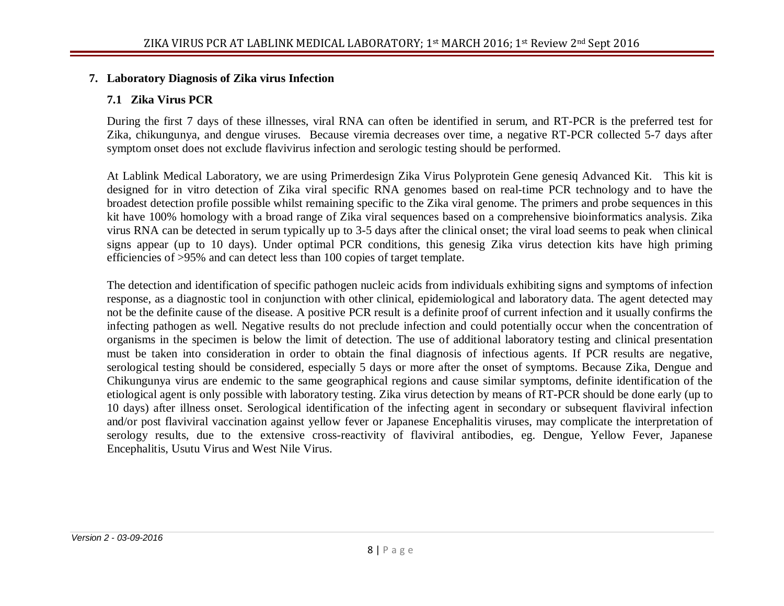# **7. Laboratory Diagnosis of Zika virus Infection**

# **7.1 Zika Virus PCR**

During the first 7 days of these illnesses, viral RNA can often be identified in serum, and RT-PCR is the preferred test for Zika, chikungunya, and dengue viruses. Because viremia decreases over time, a negative RT-PCR collected 5-7 days after symptom onset does not exclude flavivirus infection and serologic testing should be performed.

At Lablink Medical Laboratory, we are using Primerdesign Zika Virus Polyprotein Gene genesiq Advanced Kit. This kit is designed for in vitro detection of Zika viral specific RNA genomes based on real-time PCR technology and to have the broadest detection profile possible whilst remaining specific to the Zika viral genome. The primers and probe sequences in this kit have 100% homology with a broad range of Zika viral sequences based on a comprehensive bioinformatics analysis. Zika virus RNA can be detected in serum typically up to 3-5 days after the clinical onset; the viral load seems to peak when clinical signs appear (up to 10 days). Under optimal PCR conditions, this genesig Zika virus detection kits have high priming efficiencies of >95% and can detect less than 100 copies of target template.

The detection and identification of specific pathogen nucleic acids from individuals exhibiting signs and symptoms of infection response, as a diagnostic tool in conjunction with other clinical, epidemiological and laboratory data. The agent detected may not be the definite cause of the disease. A positive PCR result is a definite proof of current infection and it usually confirms the infecting pathogen as well. Negative results do not preclude infection and could potentially occur when the concentration of organisms in the specimen is below the limit of detection. The use of additional laboratory testing and clinical presentation must be taken into consideration in order to obtain the final diagnosis of infectious agents. If PCR results are negative, serological testing should be considered, especially 5 days or more after the onset of symptoms. Because Zika, Dengue and Chikungunya virus are endemic to the same geographical regions and cause similar symptoms, definite identification of the etiological agent is only possible with laboratory testing. Zika virus detection by means of RT-PCR should be done early (up to 10 days) after illness onset. Serological identification of the infecting agent in secondary or subsequent flaviviral infection and/or post flaviviral vaccination against yellow fever or Japanese Encephalitis viruses, may complicate the interpretation of serology results, due to the extensive cross-reactivity of flaviviral antibodies, eg. Dengue, Yellow Fever, Japanese Encephalitis, Usutu Virus and West Nile Virus.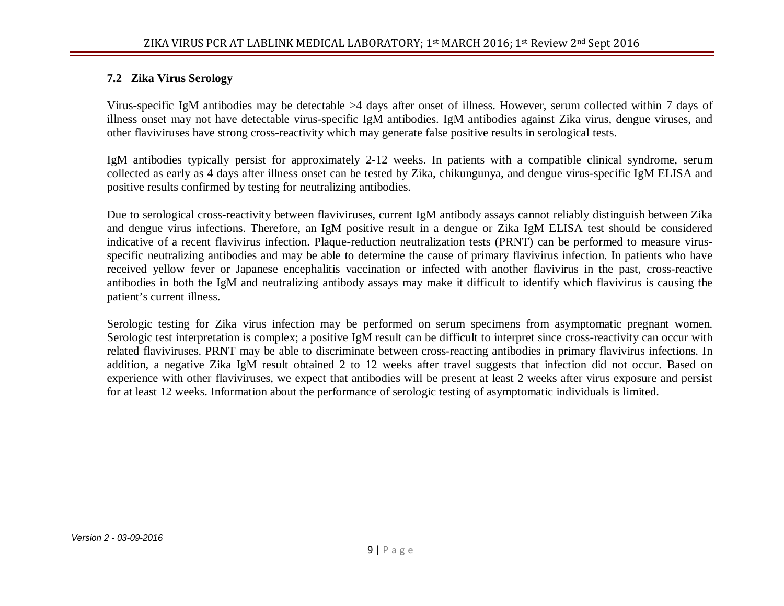#### **7.2 Zika Virus Serology**

Virus-specific IgM antibodies may be detectable >4 days after onset of illness. However, serum collected within 7 days of illness onset may not have detectable virus-specific IgM antibodies. IgM antibodies against Zika virus, dengue viruses, and other flaviviruses have strong cross-reactivity which may generate false positive results in serological tests.

IgM antibodies typically persist for approximately 2-12 weeks. In patients with a compatible clinical syndrome, serum collected as early as 4 days after illness onset can be tested by Zika, chikungunya, and dengue virus-specific IgM ELISA and positive results confirmed by testing for neutralizing antibodies.

Due to serological cross-reactivity between flaviviruses, current IgM antibody assays cannot reliably distinguish between Zika and dengue virus infections. Therefore, an IgM positive result in a dengue or Zika IgM ELISA test should be considered indicative of a recent flavivirus infection. Plaque-reduction neutralization tests (PRNT) can be performed to measure virusspecific neutralizing antibodies and may be able to determine the cause of primary flavivirus infection. In patients who have received yellow fever or Japanese encephalitis vaccination or infected with another flavivirus in the past, cross-reactive antibodies in both the IgM and neutralizing antibody assays may make it difficult to identify which flavivirus is causing the patient's current illness.

Serologic testing for Zika virus infection may be performed on serum specimens from asymptomatic pregnant women. Serologic test interpretation is complex; a positive IgM result can be difficult to interpret since cross-reactivity can occur with related flaviviruses. PRNT may be able to discriminate between cross-reacting antibodies in primary flavivirus infections. In addition, a negative Zika IgM result obtained 2 to 12 weeks after travel suggests that infection did not occur. Based on experience with other flaviviruses, we expect that antibodies will be present at least 2 weeks after virus exposure and persist for at least 12 weeks. Information about the performance of serologic testing of asymptomatic individuals is limited.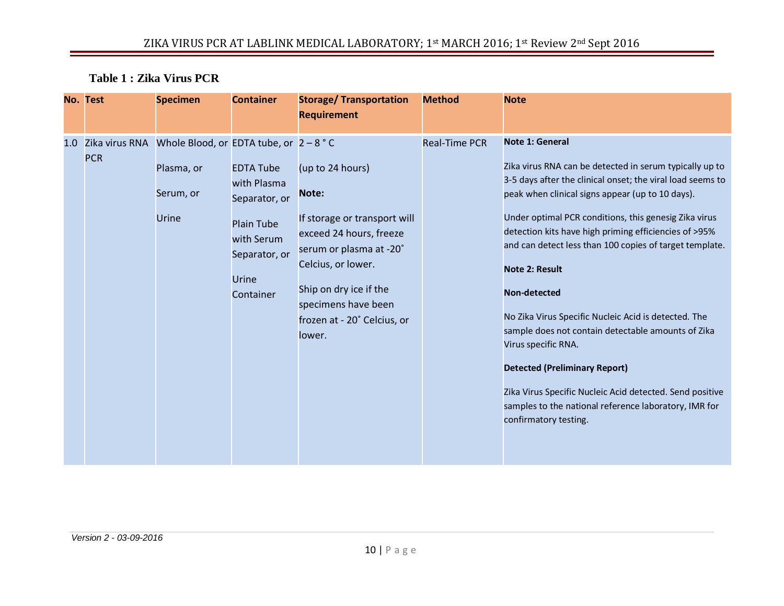# **Table 1 : Zika Virus PCR**

|     | No. Test   | <b>Specimen</b>                                                                             | <b>Container</b>                                                                                                           | <b>Storage/ Transportation</b><br><b>Requirement</b>                                                                                                                                                                            | <b>Method</b>        | <b>Note</b>                                                                                                                                                                                                                                                                                                                                                                                                                                                                                                                                                                                                                                                                                                                                          |
|-----|------------|---------------------------------------------------------------------------------------------|----------------------------------------------------------------------------------------------------------------------------|---------------------------------------------------------------------------------------------------------------------------------------------------------------------------------------------------------------------------------|----------------------|------------------------------------------------------------------------------------------------------------------------------------------------------------------------------------------------------------------------------------------------------------------------------------------------------------------------------------------------------------------------------------------------------------------------------------------------------------------------------------------------------------------------------------------------------------------------------------------------------------------------------------------------------------------------------------------------------------------------------------------------------|
| 1.0 | <b>PCR</b> | Zika virus RNA Whole Blood, or EDTA tube, or $2 - 8$ °C<br>Plasma, or<br>Serum, or<br>Urine | <b>EDTA Tube</b><br>with Plasma<br>Separator, or<br><b>Plain Tube</b><br>with Serum<br>Separator, or<br>Urine<br>Container | (up to 24 hours)<br>Note:<br>If storage or transport will<br>exceed 24 hours, freeze<br>serum or plasma at -20°<br>Celcius, or lower.<br>Ship on dry ice if the<br>specimens have been<br>frozen at - 20° Celcius, or<br>lower. | <b>Real-Time PCR</b> | <b>Note 1: General</b><br>Zika virus RNA can be detected in serum typically up to<br>3-5 days after the clinical onset; the viral load seems to<br>peak when clinical signs appear (up to 10 days).<br>Under optimal PCR conditions, this genesig Zika virus<br>detection kits have high priming efficiencies of >95%<br>and can detect less than 100 copies of target template.<br><b>Note 2: Result</b><br>Non-detected<br>No Zika Virus Specific Nucleic Acid is detected. The<br>sample does not contain detectable amounts of Zika<br>Virus specific RNA.<br><b>Detected (Preliminary Report)</b><br>Zika Virus Specific Nucleic Acid detected. Send positive<br>samples to the national reference laboratory, IMR for<br>confirmatory testing. |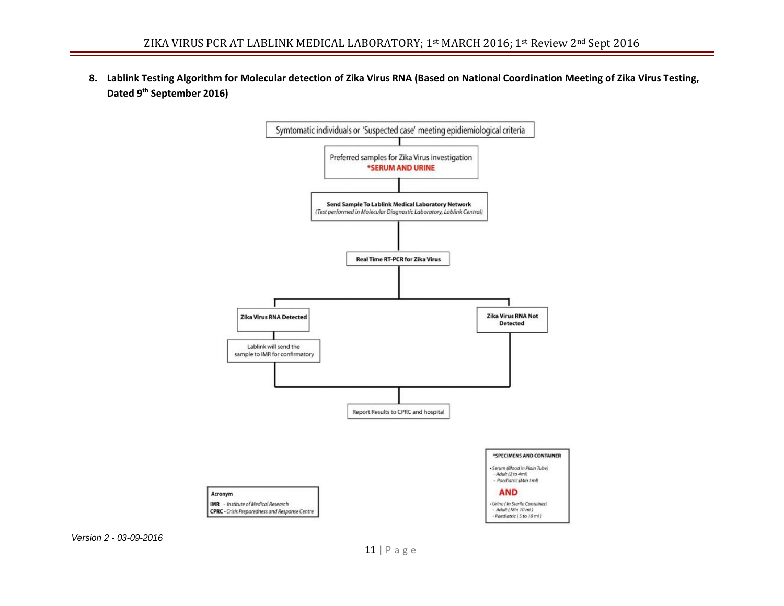**8. Lablink Testing Algorithm for Molecular detection of Zika Virus RNA (Based on National Coordination Meeting of Zika Virus Testing, Dated 9th September 2016)**